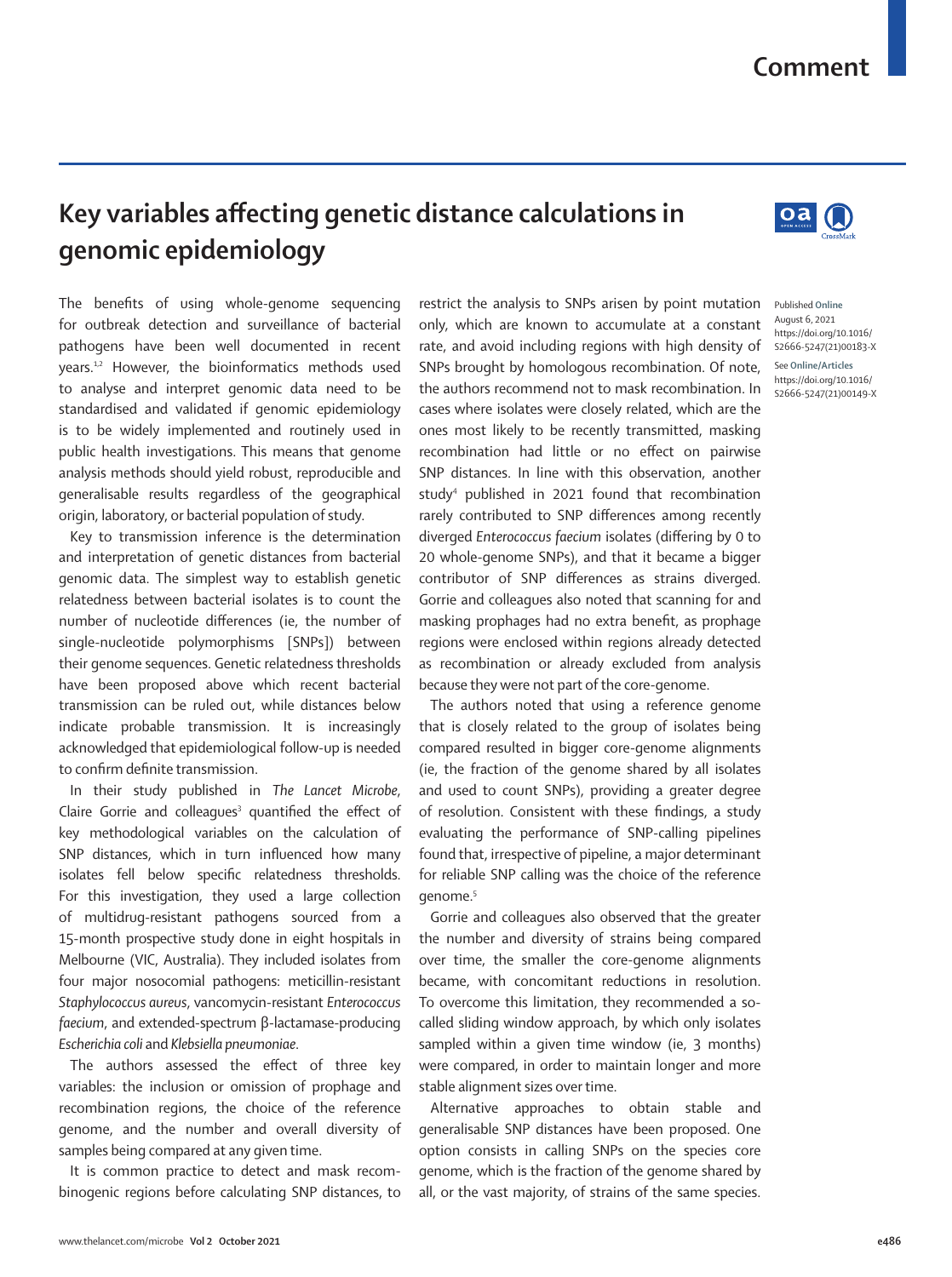## **Comment**

 $\mathbf{O}$ a $\mathbf{O}$ 

## **Key variables affecting genetic distance calculations in genomic epidemiology**

The benefits of using whole-genome sequencing for outbreak detection and surveillance of bacterial pathogens have been well documented in recent years.1,2 However, the bioinformatics methods used to analyse and interpret genomic data need to be standardised and validated if genomic epidemiology is to be widely implemented and routinely used in public health investigations. This means that genome analysis methods should yield robust, reproducible and generalisable results regardless of the geographical origin, laboratory, or bacterial population of study.

Key to transmission inference is the determination and interpretation of genetic distances from bacterial genomic data. The simplest way to establish genetic relatedness between bacterial isolates is to count the number of nucleotide differences (ie, the number of single-nucleotide polymorphisms [SNPs]) between their genome sequences. Genetic relatedness thresholds have been proposed above which recent bacterial transmission can be ruled out, while distances below indicate probable transmission. It is increasingly acknowledged that epidemiological follow-up is needed to confirm definite transmission.

In their study published in *The Lancet Microbe*, Claire Gorrie and colleagues<sup>3</sup> quantified the effect of key methodological variables on the calculation of SNP distances, which in turn influenced how many isolates fell below specific relatedness thresholds. For this investigation, they used a large collection of multidrug-resistant pathogens sourced from a 15-month prospective study done in eight hospitals in Melbourne (VIC, Australia). They included isolates from four major nosocomial pathogens: meticillin-resistant *Staphylococcus aureus*, vancomycin-resistant *Enterococcus faecium*, and extended-spectrum β-lactamase-producing *Escherichia coli* and *Klebsiella pneumoniae*.

The authors assessed the effect of three key variables: the inclusion or omission of prophage and recombination regions, the choice of the reference genome, and the number and overall diversity of samples being compared at any given time.

It is common practice to detect and mask recombinogenic regions before calculating SNP distances, to restrict the analysis to SNPs arisen by point mutation only, which are known to accumulate at a constant rate, and avoid including regions with high density of SNPs brought by homologous recombination. Of note, the authors recommend not to mask recombination. In cases where isolates were closely related, which are the ones most likely to be recently transmitted, masking recombination had little or no effect on pairwise SNP distances. In line with this observation, another study4 published in 2021 found that recombination rarely contributed to SNP differences among recently diverged *Enterococcus faecium* isolates (differing by 0 to 20 whole-genome SNPs), and that it became a bigger contributor of SNP differences as strains diverged. Gorrie and colleagues also noted that scanning for and masking prophages had no extra benefit, as prophage regions were enclosed within regions already detected as recombination or already excluded from analysis because they were not part of the core-genome.

The authors noted that using a reference genome that is closely related to the group of isolates being compared resulted in bigger core-genome alignments (ie, the fraction of the genome shared by all isolates and used to count SNPs), providing a greater degree of resolution. Consistent with these findings, a study evaluating the performance of SNP-calling pipelines found that, irrespective of pipeline, a major determinant for reliable SNP calling was the choice of the reference genome.<sup>5</sup>

Gorrie and colleagues also observed that the greater the number and diversity of strains being compared over time, the smaller the core-genome alignments became, with concomitant reductions in resolution. To overcome this limitation, they recommended a socalled sliding window approach, by which only isolates sampled within a given time window (ie, 3 months) were compared, in order to maintain longer and more stable alignment sizes over time.

Alternative approaches to obtain stable and generalisable SNP distances have been proposed. One option consists in calling SNPs on the species core genome, which is the fraction of the genome shared by all, or the vast majority, of strains of the same species.



https://doi.org/10.1016/ S2666-5247(21)00149-X